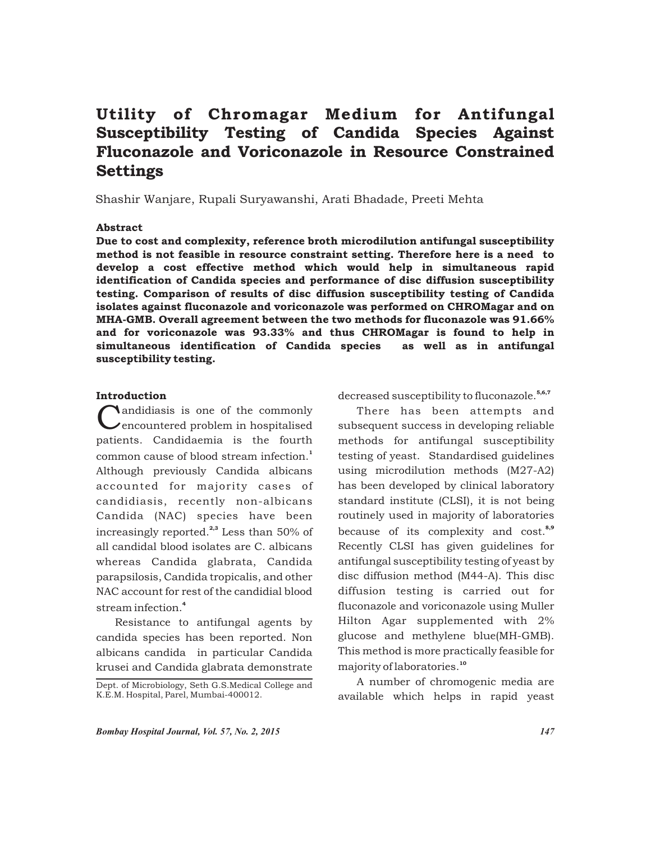# Utility of Chromagar Medium for Antifungal Susceptibility Testing of Candida Species Against Fluconazole and Voriconazole in Resource Constrained **Settings**

Shashir Wanjare, Rupali Suryawanshi, Arati Bhadade, Preeti Mehta

#### Abstract

Due to cost and complexity, reference broth microdilution antifungal susceptibility method is not feasible in resource constraint setting. Therefore here is a need to develop a cost effective method which would help in simultaneous rapid identification of Candida species and performance of disc diffusion susceptibility testing. Comparison of results of disc diffusion susceptibility testing of Candida isolates against fluconazole and voriconazole was performed on CHROMagar and on MHA-GMB. Overall agreement between the two methods for fluconazole was 91.66% and for voriconazole was 93.33% and thus CHROMagar is found to help in simultaneous identification of Candida species as well as in antifungal susceptibility testing.

#### Introduction

**Landidiasis is one of the commonly<br>
Lencountered problem in hospitalised** patients. Candidaemia is the fourth common cause of blood stream infection.<sup>1</sup> Although previously Candida albicans accounted for majority cases of candidiasis, recently non-albicans Candida (NAC) species have been increasingly reported. $2,3}$  Less than 50% of all candidal blood isolates are C. albicans whereas Candida glabrata, Candida parapsilosis, Candida tropicalis, and other NAC account for rest of the candidial blood stream infection.<sup>4</sup>

Resistance to antifungal agents by candida species has been reported. Non albicans candida in particular Candida krusei and Candida glabrata demonstrate decreased susceptibility to fluconazole.<sup>5,6,7</sup>

There has been attempts and subsequent success in developing reliable methods for antifungal susceptibility testing of yeast. Standardised guidelines using microdilution methods (M27-A2) has been developed by clinical laboratory standard institute (CLSI), it is not being routinely used in majority of laboratories because of its complexity and cost.<sup>8,9</sup> Recently CLSI has given guidelines for antifungal susceptibility testing of yeast by disc diffusion method (M44-A). This disc diffusion testing is carried out for fluconazole and voriconazole using Muller Hilton Agar supplemented with 2% glucose and methylene blue(MH-GMB). This method is more practically feasible for majority of laboratories.<sup>10</sup>

A number of chromogenic media are available which helps in rapid yeast

Dept. of Microbiology, Seth G.S.Medical College and K.E.M. Hospital, Parel, Mumbai-400012.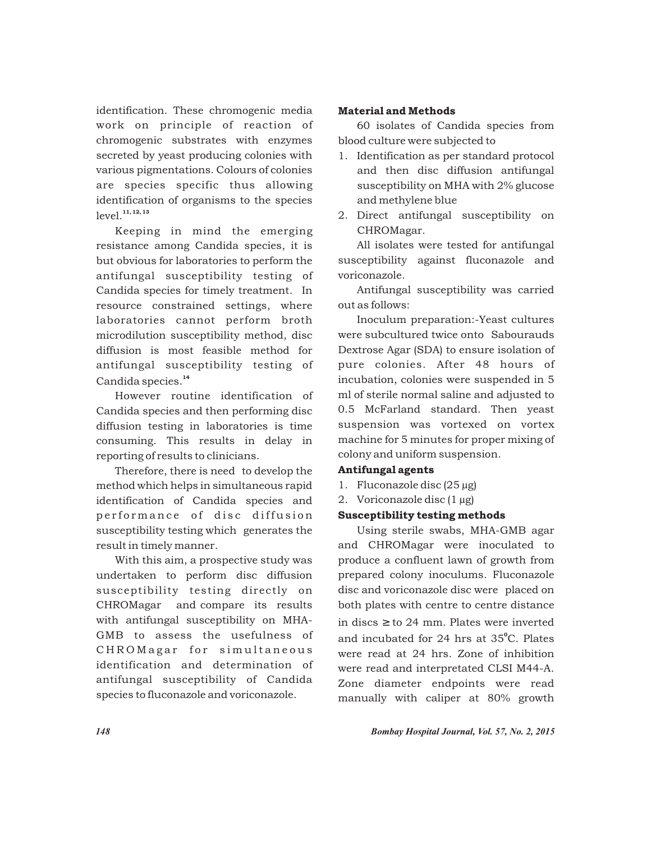identification. These chromogenic media work on principle of reaction of chromogenic substrates with enzymes secreted by yeast producing colonies with various pigmentations. Colours of colonies are species specific thus allowing identification of organisms to the species level.<sup>11, 12, 13</sup>

Keeping in mind the emerging resistance among Candida species, it is but obvious for laboratories to perform the antifungal susceptibility testing of Candida species for timely treatment. In resource constrained settings, where laboratories cannot perform broth microdilution susceptibility method, disc diffusion is most feasible method for antifungal susceptibility testing of Candida species.<sup>14</sup>

However routine identification of Candida species and then performing disc diffusion testing in laboratories is time consuming. This results in delay in reporting of results to clinicians.

Therefore, there is need to develop the method which helps in simultaneous rapid identification of Candida species and performance of disc diffusion susceptibility testing which generates the result in timely manner.

With this aim, a prospective study was undertaken to perform disc diffusion susceptibility testing directly on CHROMagar and compare its results with antifungal susceptibility on MHA-GMB to assess the usefulness of CHROMagar for simultaneous identification and determination of antifungal susceptibility of Candida species to fluconazole and voriconazole.

## Material and Methods

60 isolates of Candida species from blood culture were subjected to

- 1. Identification as per standard protocol and then disc diffusion antifungal susceptibility on MHA with 2% glucose and methylene blue
- 2. Direct antifungal susceptibility on CHROMagar.

All isolates were tested for antifungal susceptibility against fluconazole and voriconazole.

Antifungal susceptibility was carried out as follows:

Inoculum preparation:-Yeast cultures were subcultured twice onto Sabourauds Dextrose Agar (SDA) to ensure isolation of pure colonies. After 48 hours of incubation, colonies were suspended in 5 ml of sterile normal saline and adjusted to 0.5 McFarland standard. Then yeast suspension was vortexed on vortex machine for 5 minutes for proper mixing of colony and uniform suspension.

## Antifungal agents

- 1. Fluconazole disc (25 µg)
- 2. Voriconazole disc  $(1 \mu g)$

## Susceptibility testing methods

Using sterile swabs, MHA-GMB agar and CHROMagar were inoculated to produce a confluent lawn of growth from prepared colony inoculums. Fluconazole disc and voriconazole disc were placed on both plates with centre to centre distance in discs to 24 mm. Plates were inverted and incubated for 24 hrs at 35°C. Plates were read at 24 hrs. Zone of inhibition were read and interpretated CLSI M44-A. Zone diameter endpoints were read manually with caliper at 80% growth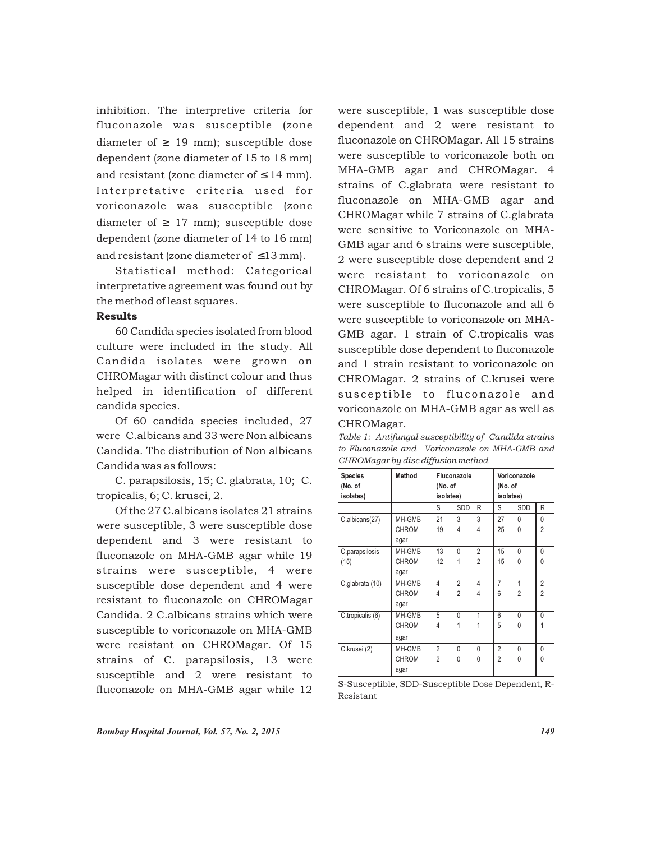inhibition. The interpretive criteria for fluconazole was susceptible (zone diameter of 19 mm); susceptible dose dependent (zone diameter of 15 to 18 mm) and resistant (zone diameter of 14 mm). Interpretative criteria used for voriconazole was susceptible (zone diameter of 17 mm); susceptible dose dependent (zone diameter of 14 to 16 mm) and resistant (zone diameter of 13 mm).

Statistical method: Categorical interpretative agreement was found out by the method of least squares.

#### Results

60 Candida species isolated from blood culture were included in the study. All Candida isolates were grown on CHROMagar with distinct colour and thus helped in identification of different candida species.

Of 60 candida species included, 27 were C.albicans and 33 were Non albicans Candida. The distribution of Non albicans Candida was as follows:

C. parapsilosis, 15; C. glabrata, 10; C. tropicalis, 6; C. krusei, 2.

Of the 27 C.albicans isolates 21 strains were susceptible, 3 were susceptible dose dependent and 3 were resistant to fluconazole on MHA-GMB agar while 19 strains were susceptible, 4 were susceptible dose dependent and 4 were resistant to fluconazole on CHROMagar Candida. 2 C.albicans strains which were susceptible to voriconazole on MHA-GMB were resistant on CHROMagar. Of 15 strains of C. parapsilosis, 13 were susceptible and 2 were resistant to fluconazole on MHA-GMB agar while 12 were susceptible, 1 was susceptible dose dependent and 2 were resistant to fluconazole on CHROMagar. All 15 strains were susceptible to voriconazole both on MHA-GMB agar and CHROMagar. 4 strains of C.glabrata were resistant to fluconazole on MHA-GMB agar and CHROMagar while 7 strains of C.glabrata were sensitive to Voriconazole on MHA-GMB agar and 6 strains were susceptible, 2 were susceptible dose dependent and 2 were resistant to voriconazole on CHROMagar. Of 6 strains of C.tropicalis, 5 were susceptible to fluconazole and all 6 were susceptible to voriconazole on MHA-GMB agar. 1 strain of C.tropicalis was susceptible dose dependent to fluconazole and 1 strain resistant to voriconazole on CHROMagar. 2 strains of C.krusei were sus ceptible to fluconazole and voriconazole on MHA-GMB agar as well as CHROMagar.

*Table 1: Antifungal susceptibility of Candida strains to Fluconazole and Voriconazole on MHA-GMB and CHROMagar by disc diffusion method*

| <b>Species</b><br>(No. of<br>isolates) | Method                         | Fluconazole<br>(No. of<br>isolates) |                                  |                                  | Voriconazole<br>(No. of<br>isolates) |                          |                                  |
|----------------------------------------|--------------------------------|-------------------------------------|----------------------------------|----------------------------------|--------------------------------------|--------------------------|----------------------------------|
|                                        |                                | S                                   | SDD                              | R                                | S                                    | <b>SDD</b>               | R                                |
| C.albicans(27)                         | MH-GMB<br><b>CHROM</b><br>agar | 21<br>19                            | 3<br>4                           | 3<br>4                           | 27<br>25                             | $\Omega$<br>$\Omega$     | 0<br>$\overline{2}$              |
| C.parapsilosis<br>(15)                 | MH-GMB<br><b>CHROM</b><br>agar | 13<br>12                            | 0<br>1                           | $\overline{2}$<br>$\mathfrak{p}$ | 15<br>15                             | $\Omega$<br>$\Omega$     | $\mathbf{0}$<br>$\Omega$         |
| C.glabrata (10)                        | MH-GMB<br><b>CHROM</b><br>agar | 4<br>4                              | $\overline{2}$<br>$\overline{2}$ | $\overline{4}$<br>$\overline{4}$ | $\overline{7}$<br>6                  | 1<br>2                   | $\overline{2}$<br>$\overline{2}$ |
| C.tropicalis (6)                       | MH-GMB<br><b>CHROM</b><br>agar | 5<br>4                              | 0<br>1                           | 1                                | 6<br>5                               | $\mathbf{0}$<br>$\Omega$ | 0                                |
| C.krusei (2)                           | MH-GMB<br><b>CHROM</b><br>agar | $\overline{2}$<br>$\overline{2}$    | 0<br>0                           | $\Omega$<br>$\Omega$             | $\overline{2}$<br>$\overline{2}$     | $\Omega$<br>$\Omega$     | $\mathbf{0}$<br>0                |

S-Susceptible, SDD-Susceptible Dose Dependent, R-Resistant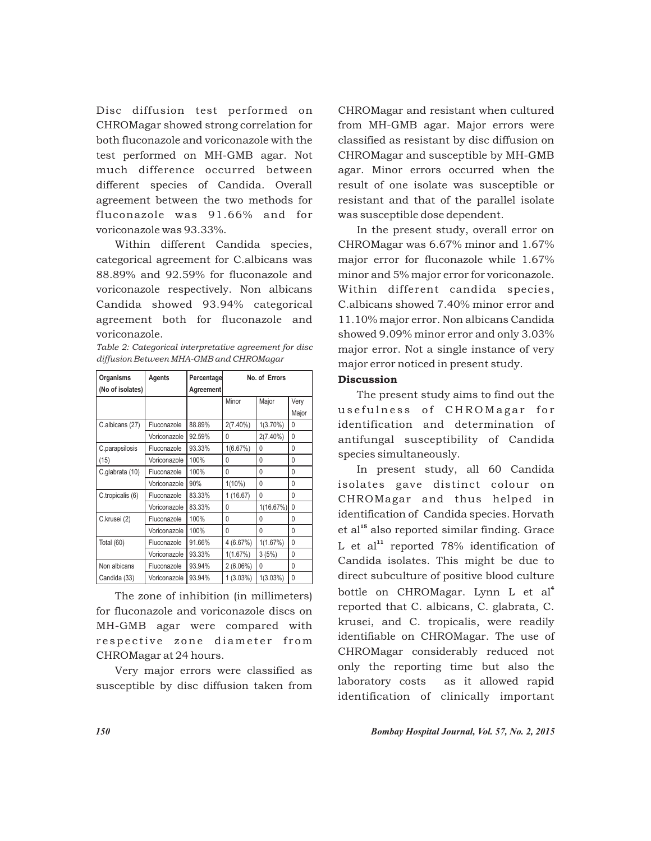Disc diffusion test performed on CHROMagar showed strong correlation for both fluconazole and voriconazole with the test performed on MH-GMB agar. Not much difference occurred between different species of Candida. Overall agreement between the two methods for fluconazole was 91.66% and for voriconazole was 93.33%.

Within different Candida species, categorical agreement for C.albicans was 88.89% and 92.59% for fluconazole and voriconazole respectively. Non albicans Candida showed 93.94% categorical agreement both for fluconazole and voriconazole.

| Table 2: Categorical interpretative agreement for disc |  |
|--------------------------------------------------------|--|
| diffusion Between MHA-GMB and CHROMagar                |  |

| Organisms        | Agents       | Percentage | No. of Errors |              |              |  |
|------------------|--------------|------------|---------------|--------------|--------------|--|
| (No of isolates) |              | Agreement  |               |              |              |  |
|                  |              |            | Minor         | Major        | Very         |  |
|                  |              |            |               |              | Major        |  |
| C.albicans (27)  | Fluconazole  | 88.89%     | $2(7.40\%)$   | $1(3.70\%)$  | $\Omega$     |  |
|                  | Voriconazole | 92.59%     | $\Omega$      | $2(7.40\%)$  | $\mathbf{0}$ |  |
| C.parapsilosis   | Fluconazole  | 93.33%     | 1(6.67%)      | $\mathbf{0}$ | 0            |  |
| (15)             | Voriconazole | 100%       | 0             | $\mathbf{0}$ | 0            |  |
| C.glabrata (10)  | Fluconazole  | 100%       | $\mathbf{0}$  | $\mathbf{0}$ | $\mathbf{0}$ |  |
|                  | Voriconazole | 90%        | $1(10\%)$     | $\mathbf{0}$ | 0            |  |
| C.tropicalis (6) | Fluconazole  | 83.33%     | 1(16.67)      | $\mathbf{0}$ | 0            |  |
|                  | Voriconazole | 83.33%     | $\mathbf{0}$  | 1(16.67%)    | $\mathbf{0}$ |  |
| C.krusei (2)     | Fluconazole  | 100%       | $\mathbf{0}$  | 0            | 0            |  |
|                  | Voriconazole | 100%       | $\Omega$      | $\Omega$     | $\mathbf{0}$ |  |
| Total (60)       | Fluconazole  | 91.66%     | 4 (6.67%)     | 1(1.67%)     | $\mathbf{0}$ |  |
|                  | Voriconazole | 93.33%     | 1(1.67%)      | 3(5%)        | 0            |  |
| Non albicans     | Fluconazole  | 93.94%     | $2(6.06\%)$   | $\Omega$     | $\Omega$     |  |
| Candida (33)     | Voriconazole | 93.94%     | $1(3.03\%)$   | $1(3.03\%)$  | $\mathbf{0}$ |  |

The zone of inhibition (in millimeters) for fluconazole and voriconazole discs on MH-GMB agar were compared with respective zone diameter from CHROMagar at 24 hours.

Very major errors were classified as susceptible by disc diffusion taken from CHROMagar and resistant when cultured from MH-GMB agar. Major errors were classified as resistant by disc diffusion on CHROMagar and susceptible by MH-GMB agar. Minor errors occurred when the result of one isolate was susceptible or resistant and that of the parallel isolate was susceptible dose dependent.

In the present study, overall error on CHROMagar was 6.67% minor and 1.67% major error for fluconazole while 1.67% minor and 5% major error for voriconazole. Within different candida species, C.albicans showed 7.40% minor error and 11.10% major error. Non albicans Candida showed 9.09% minor error and only 3.03% major error. Not a single instance of very major error noticed in present study.

### **Discussion**

The present study aims to find out the usefulness of CHROMagar for identification and determination of antifungal susceptibility of Candida species simultaneously.

In present study, all 60 Candida isolates gave distinct colour on CHROMagar and thus helped in identification of Candida species. Horvath  $et al<sup>15</sup>$  also reported similar finding. Grace L et al<sup>11</sup> reported  $78%$  identification of Candida isolates. This might be due to direct subculture of positive blood culture bottle on CHROMagar. Lynn L et al<sup>4</sup> reported that C. albicans, C. glabrata, C. krusei, and C. tropicalis, were readily identifiable on CHROMagar. The use of CHROMagar considerably reduced not only the reporting time but also the laboratory costs as it allowed rapid identification of clinically important

*150 Bombay Hospital Journal, Vol. 57, No. 2, 2015*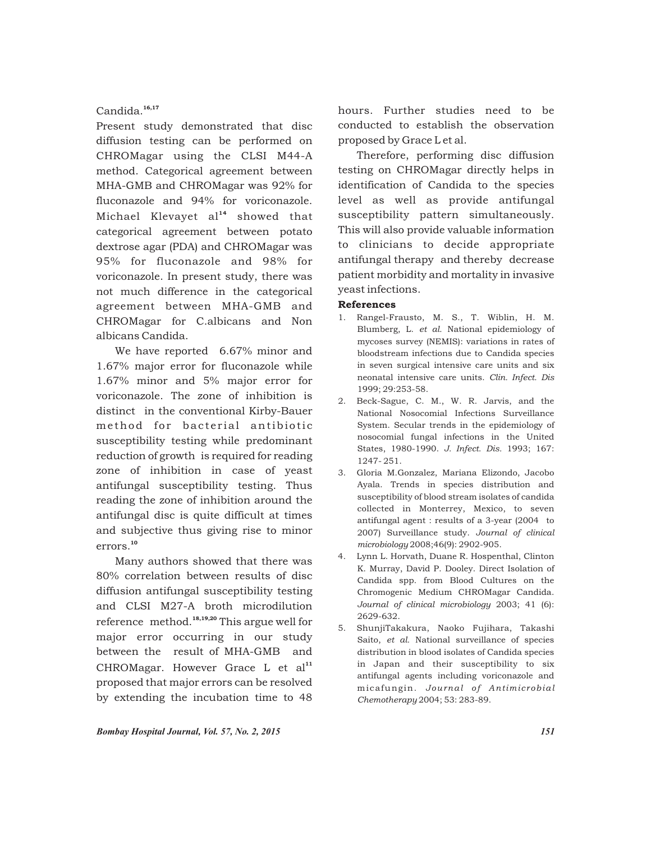## Candida.<sup>16,17</sup>

Present study demonstrated that disc diffusion testing can be performed on CHROMagar using the CLSI M44-A method. Categorical agreement between MHA-GMB and CHROMagar was 92% for fluconazole and 94% for voriconazole. Michael Klevayet al<sup>14</sup> showed that categorical agreement between potato dextrose agar (PDA) and CHROMagar was 95% for fluconazole and 98% for voriconazole. In present study, there was not much difference in the categorical agreement between MHA-GMB and CHROMagar for C.albicans and Non albicans Candida.

We have reported 6.67% minor and 1.67% major error for fluconazole while 1.67% minor and 5% major error for voriconazole. The zone of inhibition is distinct in the conventional Kirby-Bauer method for bacterial antibiotic susceptibility testing while predominant reduction of growth is required for reading zone of inhibition in case of yeast antifungal susceptibility testing. Thus reading the zone of inhibition around the antifungal disc is quite difficult at times and subjective thus giving rise to minor errors.<sup>10</sup>

Many authors showed that there was 80% correlation between results of disc diffusion antifungal susceptibility testing and CLSI M27-A broth microdilution reference method. $18,19,20$  This argue well for major error occurring in our study between the result of MHA-GMB and CHROMagar. However Grace L et al<sup>11</sup> proposed that major errors can be resolved by extending the incubation time to 48

hours. Further studies need to be conducted to establish the observation proposed by Grace L et al.

Therefore, performing disc diffusion testing on CHROMagar directly helps in identification of Candida to the species level as well as provide antifungal susceptibility pattern simultaneously. This will also provide valuable information to clinicians to decide appropriate antifungal therapy and thereby decrease patient morbidity and mortality in invasive yeast infections.

#### References

- 1. Rangel-Frausto, M. S., T. Wiblin, H. M. Blumberg, L. *et al.* National epidemiology of mycoses survey (NEMIS): variations in rates of bloodstream infections due to Candida species in seven surgical intensive care units and six neonatal intensive care units. *Clin. Infect. Dis* 1999; 29:253-58.
- 2. Beck-Sague, C. M., W. R. Jarvis, and the National Nosocomial Infections Surveillance System. Secular trends in the epidemiology of nosocomial fungal infections in the United States, 1980-1990. *J. Infect. Dis.* 1993; 167: 1247- 251.
- 3. Gloria M.Gonzalez, Mariana Elizondo, Jacobo Ayala. Trends in species distribution and susceptibility of blood stream isolates of candida collected in Monterrey, Mexico, to seven antifungal agent : results of a 3-year (2004 to 2007) Surveillance study. *Journal of clinical microbiology* 2008;46(9): 2902-905.
- 4. Lynn L. Horvath, Duane R. Hospenthal, Clinton K. Murray, David P. Dooley. Direct Isolation of Candida spp. from Blood Cultures on the Chromogenic Medium CHROMagar Candida. *Journal of clinical microbiology* 2003; 41 (6): 2629-632.
- 5. ShunjiTakakura, Naoko Fujihara, Takashi Saito, *et al.* National surveillance of species distribution in blood isolates of Candida species in Japan and their susceptibility to six antifungal agents including voriconazole and micafungin. *Journal of Antimicrobial Chemotherapy* 2004; 53: 283-89.

*Bombay Hospital Journal, Vol. 57, No. 2, 2015 151*